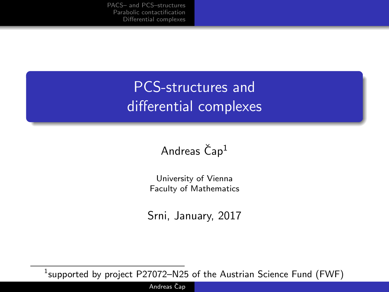[PACS– and PCS–structures](#page-3-0) [Parabolic contactification](#page-7-0) [Differential complexes](#page-9-0)

## PCS-structures and differential complexes

#### Andreas  $\text{Čap}^1$

University of Vienna Faculty of Mathematics

Srni, January, 2017

 $^1$ supported by project <code>P27072–N25</code> of the Austrian Science Fund (FWF)

Andreas Čap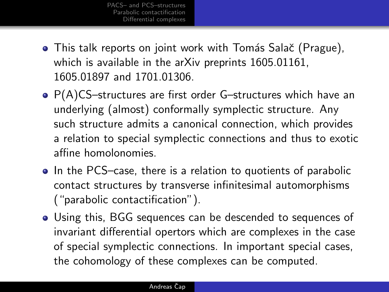- This talk reports on joint work with Tomás Salač (Prague), which is available in the arXiv preprints 1605.01161, 1605.01897 and 1701.01306.
- P(A)CS-structures are first order G-structures which have an underlying (almost) conformally symplectic structure. Any such structure admits a canonical connection, which provides a relation to special symplectic connections and thus to exotic affine homolonomies.
- In the PCS–case, there is a relation to quotients of parabolic contact structures by transverse infinitesimal automorphisms ("parabolic contactification").
- Using this, BGG sequences can be descended to sequences of invariant differential opertors which are complexes in the case of special symplectic connections. In important special cases, the cohomology of these complexes can be computed.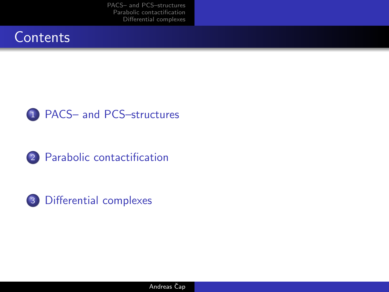[PACS– and PCS–structures](#page-3-0) [Parabolic contactification](#page-7-0) [Differential complexes](#page-9-0)









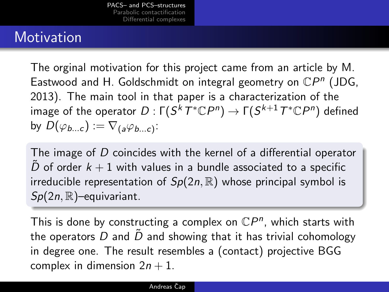### **Motivation**

The orginal motivation for this project came from an article by M. Eastwood and H. Goldschmidt on integral geometry on  $\mathbb{C}P^n$  (JDG, 2013). The main tool in that paper is a characterization of the image of the operator  $D:\mathsf{\Gamma}(S^kT^*\mathbb C P^n)\to \mathsf{\Gamma}(S^{k+1}T^*\mathbb C P^n)$  defined by  $D(\varphi_{b...c}) := \nabla_{(a}\varphi_{b...c})$ :

The image of D coincides with the kernel of a differential operator D of order  $k + 1$  with values in a bundle associated to a specific irreducible representation of  $Sp(2n,\mathbb{R})$  whose principal symbol is  $Sp(2n,\mathbb{R})$ -equivariant.

<span id="page-3-0"></span>This is done by constructing a complex on  $\mathbb{C}P^n$ , which starts with the operators D and  $\ddot{D}$  and showing that it has trivial cohomology in degree one. The result resembles a (contact) projective BGG complex in dimension  $2n + 1$ .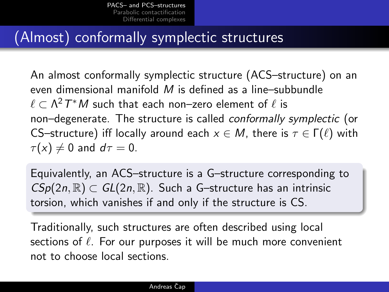### (Almost) conformally symplectic structures

An almost conformally symplectic structure (ACS–structure) on an even dimensional manifold  $M$  is defined as a line-subbundle  $\ell \subset \mathsf{\Lambda}^2T^*M$  such that each non–zero element of  $\ell$  is non–degenerate. The structure is called conformally symplectic (or CS–structure) iff locally around each  $x \in M$ , there is  $\tau \in \Gamma(\ell)$  with  $\tau(x) \neq 0$  and  $d\tau = 0$ .

Equivalently, an ACS–structure is a G–structure corresponding to  $CSp(2n,\mathbb{R})\subset GL(2n,\mathbb{R})$ . Such a G-structure has an intrinsic torsion, which vanishes if and only if the structure is CS.

Traditionally, such structures are often described using local sections of  $\ell$ . For our purposes it will be much more convenient not to choose local sections.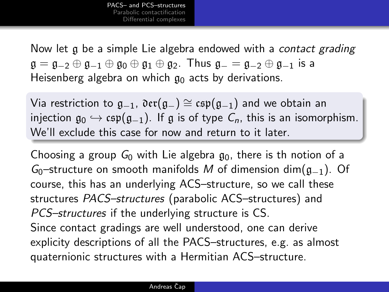Now let g be a simple Lie algebra endowed with a *contact grading*  $\mathfrak{g} = \mathfrak{g}_{-2} \oplus \mathfrak{g}_{-1} \oplus \mathfrak{g}_0 \oplus \mathfrak{g}_1 \oplus \mathfrak{g}_2$ . Thus  $\mathfrak{g}_- = \mathfrak{g}_{-2} \oplus \mathfrak{g}_{-1}$  is a Heisenberg algebra on which  $g_0$  acts by derivations.

Via restriction to  $g_{-1}$ ,  $\text{Der}(g_{-}) \cong \text{csp}(g_{-1})$  and we obtain an injection  $g_0 \hookrightarrow \text{csp}(g_{-1})$ . If g is of type  $C_n$ , this is an isomorphism. We'll exclude this case for now and return to it later.

Choosing a group  $G_0$  with Lie algebra  $g_0$ , there is th notion of a  $G_0$ –structure on smooth manifolds M of dimension dim( $g_{-1}$ ). Of course, this has an underlying ACS–structure, so we call these structures PACS–structures (parabolic ACS–structures) and PCS–structures if the underlying structure is CS. Since contact gradings are well understood, one can derive explicity descriptions of all the PACS–structures, e.g. as almost quaternionic structures with a Hermitian ACS–structure.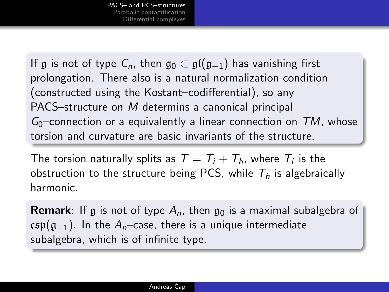If g is not of type  $C_n$ , then  $\mathfrak{g}_0 \subset \mathfrak{gl}(\mathfrak{g}_{-1})$  has vanishing first prolongation. There also is a natural normalization condition (constructed using the Kostant–codifferential), so any PACS–structure on M determins a canonical principal  $G_0$ –connection or a equivalently a linear connection on TM, whose torsion and curvature are basic invariants of the structure.

The torsion naturally splits as  $\mathcal{T}=\mathcal{T}_i+\mathcal{T}_h$ , where  $\mathcal{T}_i$  is the obstruction to the structure being PCS, while  $T<sub>h</sub>$  is algebraically harmonic.

**Remark**: If g is not of type  $A_n$ , then  $\mathfrak{g}_0$  is a maximal subalgebra of csp( $g_{-1}$ ). In the A<sub>n</sub>–case, there is a unique intermediate subalgebra, which is of infinite type.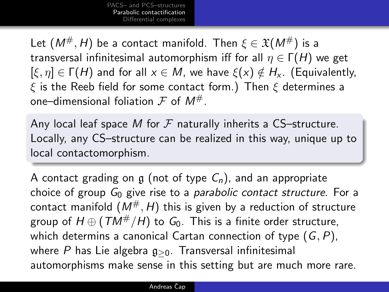Let  $(M^{\#}, H)$  be a contact manifold. Then  $\xi \in \mathfrak{X}(M^{\#})$  is a transversal infinitesimal automorphism iff for all  $\eta \in \Gamma(H)$  we get  $[\xi, \eta] \in \Gamma(H)$  and for all  $x \in M$ , we have  $\xi(x) \notin H_x$ . (Equivalently,  $\xi$  is the Reeb field for some contact form.) Then  $\xi$  determines a one–dimensional foliation  $\mathcal F$  of  $M^{\#}$ .

Any local leaf space M for  $F$  naturally inherits a CS-structure. Locally, any CS–structure can be realized in this way, unique up to local contactomorphism.

<span id="page-7-0"></span>A contact grading on g (not of type  $C_n$ ), and an appropriate choice of group  $G_0$  give rise to a *parabolic contact structure*. For a contact manifold  $(M^{\#}, H)$  this is given by a reduction of structure group of  $H \oplus (TM^{\#}/H)$  to  $G_0$ . This is a finite order structure, which determins a canonical Cartan connection of type  $(G, P)$ , where P has Lie algebra  $g_{>0}$ . Transversal infinitesimal automorphisms make sense in this setting but are much more rare.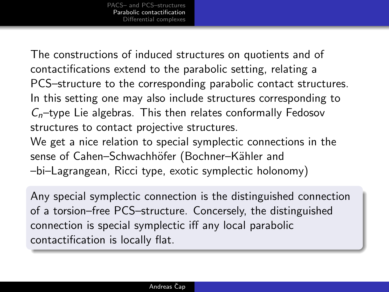The constructions of induced structures on quotients and of contactifications extend to the parabolic setting, relating a PCS–structure to the corresponding parabolic contact structures. In this setting one may also include structures corresponding to  $C_n$ –type Lie algebras. This then relates conformally Fedosov structures to contact projective structures.

We get a nice relation to special symplectic connections in the sense of Cahen–Schwachhöfer (Bochner–Kähler and –bi–Lagrangean, Ricci type, exotic symplectic holonomy)

Any special symplectic connection is the distinguished connection of a torsion–free PCS–structure. Concersely, the distinguished connection is special symplectic iff any local parabolic contactification is locally flat.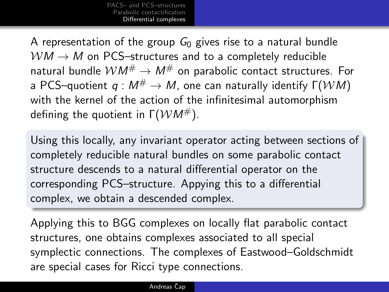[PACS– and PCS–structures](#page-3-0) [Parabolic contactification](#page-7-0) [Differential complexes](#page-9-0)

A representation of the group  $G_0$  gives rise to a natural bundle  $WM \rightarrow M$  on PCS–structures and to a completely reducible natural bundle  $WM^{\#} \rightarrow M^{\#}$  on parabolic contact structures. For a PCS–quotient  $q : M^{\#} \to M$ , one can naturally identify  $\Gamma(\mathcal{WM})$ with the kernel of the action of the infinitesimal automorphism defining the quotient in  $\Gamma(\mathcal{W}M^{\#})$ .

Using this locally, any invariant operator acting between sections of completely reducible natural bundles on some parabolic contact structure descends to a natural differential operator on the corresponding PCS–structure. Appying this to a differential complex, we obtain a descended complex.

<span id="page-9-0"></span>Applying this to BGG complexes on locally flat parabolic contact structures, one obtains complexes associated to all special symplectic connections. The complexes of Eastwood–Goldschmidt are special cases for Ricci type connections.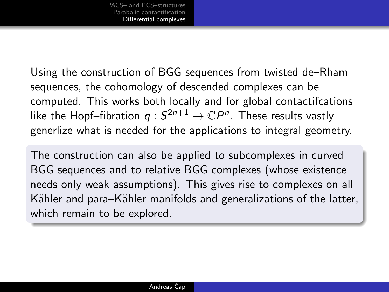Using the construction of BGG sequences from twisted de–Rham sequences, the cohomology of descended complexes can be computed. This works both locally and for global contactifcations like the Hopf–fibration  $q:S^{2n+1}\to \mathbb{C} P^n.$  These results vastly generlize what is needed for the applications to integral geometry.

The construction can also be applied to subcomplexes in curved BGG sequences and to relative BGG complexes (whose existence needs only weak assumptions). This gives rise to complexes on all Kähler and para–Kähler manifolds and generalizations of the latter, which remain to be explored.